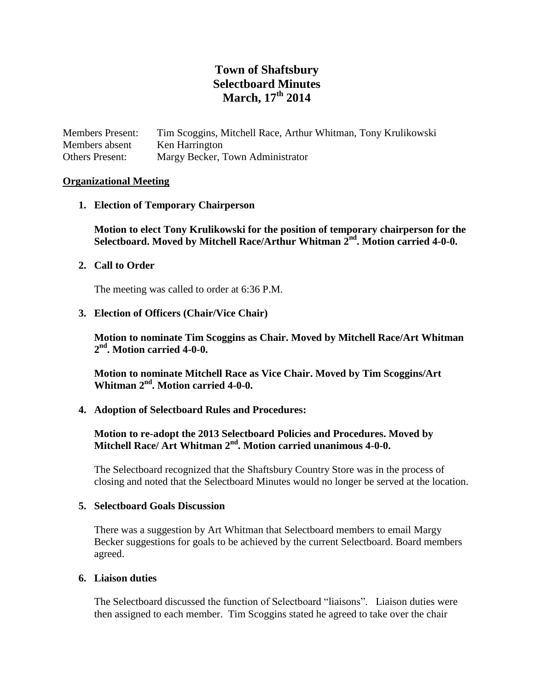# **Town of Shaftsbury Selectboard Minutes March, 17th 2014**

Members Present: Tim Scoggins, Mitchell Race, Arthur Whitman, Tony Krulikowski Members absent Ken Harrington Others Present: Margy Becker, Town Administrator

#### **Organizational Meeting**

**1. Election of Temporary Chairperson**

**Motion to elect Tony Krulikowski for the position of temporary chairperson for the Selectboard. Moved by Mitchell Race/Arthur Whitman 2nd. Motion carried 4-0-0.** 

**2. Call to Order**

The meeting was called to order at 6:36 P.M.

**3. Election of Officers (Chair/Vice Chair)**

**Motion to nominate Tim Scoggins as Chair. Moved by Mitchell Race/Art Whitman 2 nd. Motion carried 4-0-0.**

**Motion to nominate Mitchell Race as Vice Chair. Moved by Tim Scoggins/Art Whitman 2nd. Motion carried 4-0-0.**

**4. Adoption of Selectboard Rules and Procedures:** 

# **Motion to re-adopt the 2013 Selectboard Policies and Procedures. Moved by Mitchell Race/ Art Whitman 2nd. Motion carried unanimous 4-0-0.**

The Selectboard recognized that the Shaftsbury Country Store was in the process of closing and noted that the Selectboard Minutes would no longer be served at the location.

#### **5. Selectboard Goals Discussion**

There was a suggestion by Art Whitman that Selectboard members to email Margy Becker suggestions for goals to be achieved by the current Selectboard. Board members agreed.

#### **6. Liaison duties**

The Selectboard discussed the function of Selectboard "liaisons". Liaison duties were then assigned to each member. Tim Scoggins stated he agreed to take over the chair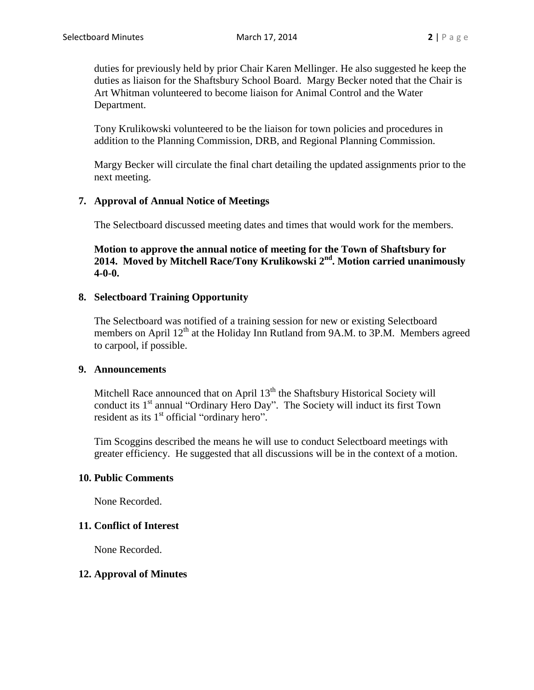duties for previously held by prior Chair Karen Mellinger. He also suggested he keep the duties as liaison for the Shaftsbury School Board. Margy Becker noted that the Chair is Art Whitman volunteered to become liaison for Animal Control and the Water Department.

Tony Krulikowski volunteered to be the liaison for town policies and procedures in addition to the Planning Commission, DRB, and Regional Planning Commission.

Margy Becker will circulate the final chart detailing the updated assignments prior to the next meeting.

# **7. Approval of Annual Notice of Meetings**

The Selectboard discussed meeting dates and times that would work for the members.

**Motion to approve the annual notice of meeting for the Town of Shaftsbury for 2014. Moved by Mitchell Race/Tony Krulikowski 2nd. Motion carried unanimously 4-0-0.**

# **8. Selectboard Training Opportunity**

The Selectboard was notified of a training session for new or existing Selectboard members on April  $12<sup>th</sup>$  at the Holiday Inn Rutland from 9A.M. to 3P.M. Members agreed to carpool, if possible.

#### **9. Announcements**

Mitchell Race announced that on April  $13<sup>th</sup>$  the Shaftsbury Historical Society will conduct its 1<sup>st</sup> annual "Ordinary Hero Day". The Society will induct its first Town resident as its 1<sup>st</sup> official "ordinary hero".

Tim Scoggins described the means he will use to conduct Selectboard meetings with greater efficiency. He suggested that all discussions will be in the context of a motion.

#### **10. Public Comments**

None Recorded.

# **11. Conflict of Interest**

None Recorded.

#### **12. Approval of Minutes**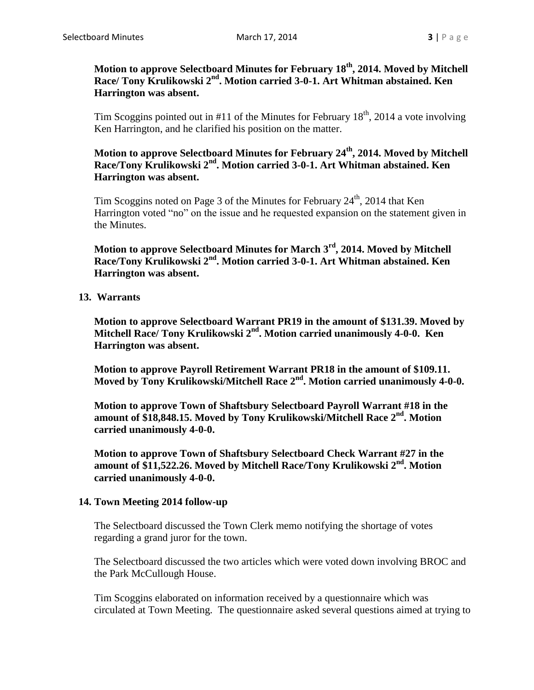**Motion to approve Selectboard Minutes for February 18th, 2014. Moved by Mitchell Race/ Tony Krulikowski 2nd. Motion carried 3-0-1. Art Whitman abstained. Ken Harrington was absent.**

Tim Scoggins pointed out in #11 of the Minutes for February  $18<sup>th</sup>$ , 2014 a vote involving Ken Harrington, and he clarified his position on the matter.

**Motion to approve Selectboard Minutes for February 24th, 2014. Moved by Mitchell Race/Tony Krulikowski 2nd. Motion carried 3-0-1. Art Whitman abstained. Ken Harrington was absent.**

Tim Scoggins noted on Page 3 of the Minutes for February 24<sup>th</sup>, 2014 that Ken Harrington voted "no" on the issue and he requested expansion on the statement given in the Minutes.

**Motion to approve Selectboard Minutes for March 3rd, 2014. Moved by Mitchell Race/Tony Krulikowski 2nd. Motion carried 3-0-1. Art Whitman abstained. Ken Harrington was absent.**

**13. Warrants**

**Motion to approve Selectboard Warrant PR19 in the amount of \$131.39. Moved by Mitchell Race/ Tony Krulikowski 2nd. Motion carried unanimously 4-0-0. Ken Harrington was absent.**

**Motion to approve Payroll Retirement Warrant PR18 in the amount of \$109.11. Moved by Tony Krulikowski/Mitchell Race 2nd. Motion carried unanimously 4-0-0.**

**Motion to approve Town of Shaftsbury Selectboard Payroll Warrant #18 in the amount of \$18,848.15. Moved by Tony Krulikowski/Mitchell Race 2nd. Motion carried unanimously 4-0-0.**

**Motion to approve Town of Shaftsbury Selectboard Check Warrant #27 in the amount of \$11,522.26. Moved by Mitchell Race/Tony Krulikowski 2nd. Motion carried unanimously 4-0-0.**

# **14. Town Meeting 2014 follow-up**

The Selectboard discussed the Town Clerk memo notifying the shortage of votes regarding a grand juror for the town.

The Selectboard discussed the two articles which were voted down involving BROC and the Park McCullough House.

Tim Scoggins elaborated on information received by a questionnaire which was circulated at Town Meeting. The questionnaire asked several questions aimed at trying to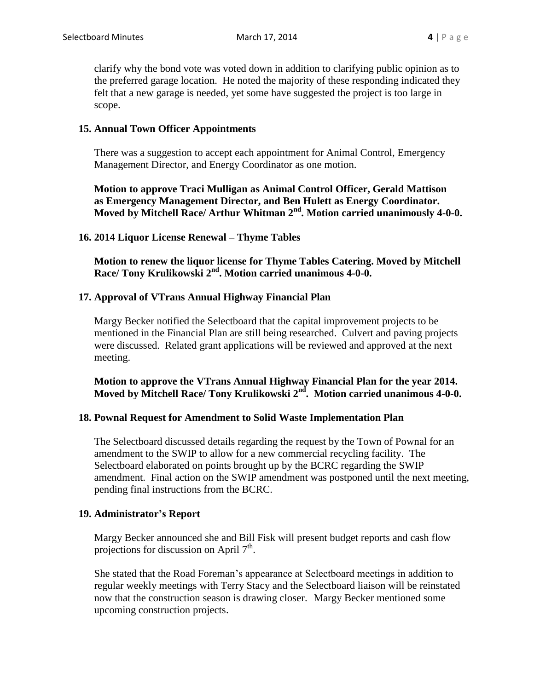clarify why the bond vote was voted down in addition to clarifying public opinion as to the preferred garage location. He noted the majority of these responding indicated they felt that a new garage is needed, yet some have suggested the project is too large in scope.

# **15. Annual Town Officer Appointments**

There was a suggestion to accept each appointment for Animal Control, Emergency Management Director, and Energy Coordinator as one motion.

**Motion to approve Traci Mulligan as Animal Control Officer, Gerald Mattison as Emergency Management Director, and Ben Hulett as Energy Coordinator. Moved by Mitchell Race/ Arthur Whitman 2nd. Motion carried unanimously 4-0-0.**

# **16. 2014 Liquor License Renewal – Thyme Tables**

**Motion to renew the liquor license for Thyme Tables Catering. Moved by Mitchell Race/ Tony Krulikowski 2nd. Motion carried unanimous 4-0-0.**

# **17. Approval of VTrans Annual Highway Financial Plan**

Margy Becker notified the Selectboard that the capital improvement projects to be mentioned in the Financial Plan are still being researched. Culvert and paving projects were discussed. Related grant applications will be reviewed and approved at the next meeting.

**Motion to approve the VTrans Annual Highway Financial Plan for the year 2014. Moved by Mitchell Race/ Tony Krulikowski 2nd . Motion carried unanimous 4-0-0.**

#### **18. Pownal Request for Amendment to Solid Waste Implementation Plan**

The Selectboard discussed details regarding the request by the Town of Pownal for an amendment to the SWIP to allow for a new commercial recycling facility. The Selectboard elaborated on points brought up by the BCRC regarding the SWIP amendment. Final action on the SWIP amendment was postponed until the next meeting, pending final instructions from the BCRC.

#### **19. Administrator's Report**

Margy Becker announced she and Bill Fisk will present budget reports and cash flow projections for discussion on April  $7<sup>th</sup>$ .

She stated that the Road Foreman's appearance at Selectboard meetings in addition to regular weekly meetings with Terry Stacy and the Selectboard liaison will be reinstated now that the construction season is drawing closer. Margy Becker mentioned some upcoming construction projects.